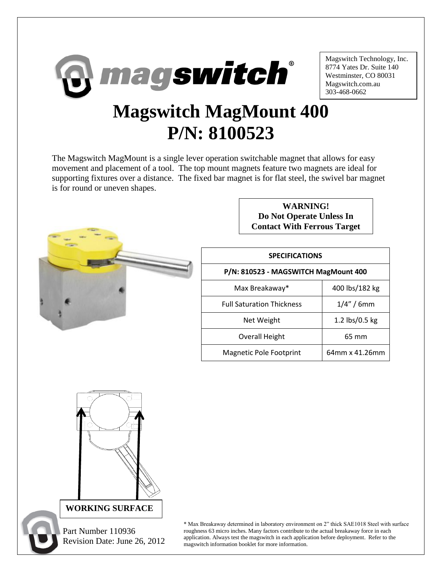

Magswitch Technology, Inc. 8774 Yates Dr. Suite 140 Westminster, CO 80031 Magswitch.com.au 303-468-0662

## **Magswitch MagMount 400 P/N: 8100523**

The Magswitch MagMount is a single lever operation switchable magnet that allows for easy movement and placement of a tool. The top mount magnets feature two magnets are ideal for supporting fixtures over a distance. The fixed bar magnet is for flat steel, the swivel bar magnet is for round or uneven shapes.



**WARNING! Do Not Operate Unless In Contact With Ferrous Target**

| <b>SPECIFICATIONS</b>                |                |
|--------------------------------------|----------------|
| P/N: 810523 - MAGSWITCH MagMount 400 |                |
| Max Breakaway*                       | 400 lbs/182 kg |
| <b>Full Saturation Thickness</b>     | $1/4" / 6$ mm  |
| Net Weight                           | 1.2 lbs/0.5 kg |
| <b>Overall Height</b>                | 65 mm          |
| Magnetic Pole Footprint              | 64mm x 41.26mm |



 Part Number 110936 Revision Date: June 26, 2012

\* Max Breakaway determined in laboratory environment on 2" thick SAE1018 Steel with surface roughness 63 micro inches. Many factors contribute to the actual breakaway force in each application. Always test the magswitch in each application before deployment. Refer to the magswitch information booklet for more information.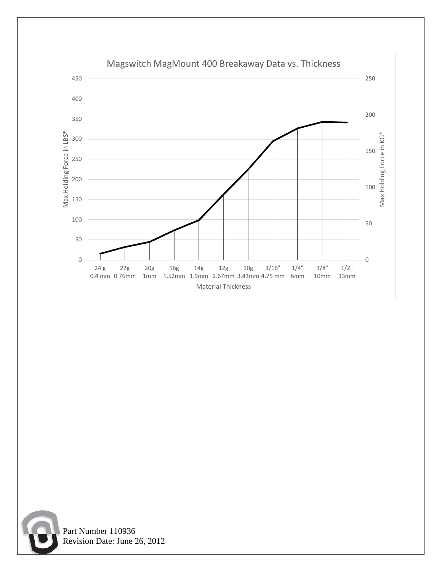